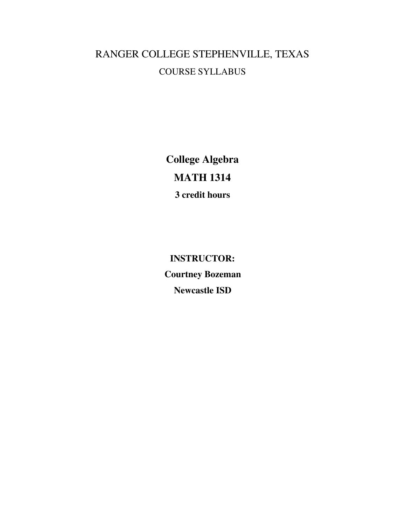# RANGER COLLEGE STEPHENVILLE, TEXAS COURSE SYLLABUS

**College Algebra MATH 1314 3 credit hours**

**INSTRUCTOR: Courtney Bozeman Newcastle ISD**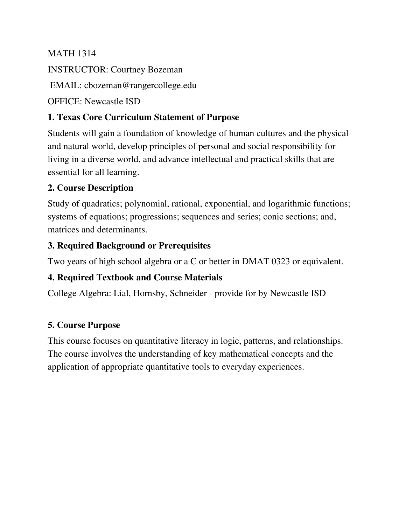### MATH 1314

INSTRUCTOR: Courtney Bozeman

EMAIL: cbozeman@rangercollege.edu

OFFICE: Newcastle ISD

### **1. Texas Core Curriculum Statement of Purpose**

Students will gain a foundation of knowledge of human cultures and the physical and natural world, develop principles of personal and social responsibility for living in a diverse world, and advance intellectual and practical skills that are essential for all learning.

# **2. Course Description**

Study of quadratics; polynomial, rational, exponential, and logarithmic functions; systems of equations; progressions; sequences and series; conic sections; and, matrices and determinants.

# **3. Required Background or Prerequisites**

Two years of high school algebra or a C or better in DMAT 0323 or equivalent.

# **4. Required Textbook and Course Materials**

College Algebra: Lial, Hornsby, Schneider - provide for by Newcastle ISD

### **5. Course Purpose**

This course focuses on quantitative literacy in logic, patterns, and relationships. The course involves the understanding of key mathematical concepts and the application of appropriate quantitative tools to everyday experiences.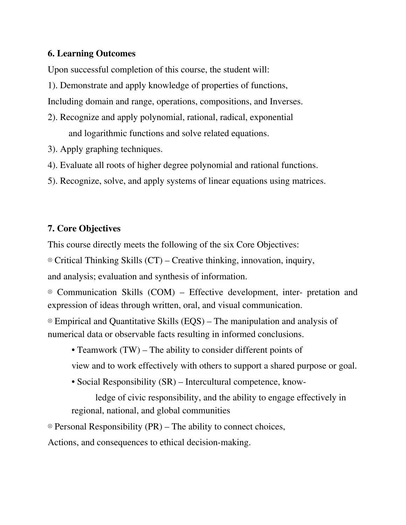#### **6. Learning Outcomes**

Upon successful completion of this course, the student will:

1). Demonstrate and apply knowledge of properties of functions,

Including domain and range, operations, compositions, and Inverses.

- 2). Recognize and apply polynomial, rational, radical, exponential and logarithmic functions and solve related equations.
- 3). Apply graphing techniques.
- 4). Evaluate all roots of higher degree polynomial and rational functions.
- 5). Recognize, solve, and apply systems of linear equations using matrices.

### **7. Core Objectives**

This course directly meets the following of the six Core Objectives:

⊗ Critical Thinking Skills (CT) – Creative thinking, innovation, inquiry,

and analysis; evaluation and synthesis of information.

⊗ Communication Skills (COM) – Effective development, inter- pretation and expression of ideas through written, oral, and visual communication.

⊗ Empirical and Quantitative Skills (EQS) – The manipulation and analysis of numerical data or observable facts resulting in informed conclusions.

• Teamwork (TW) – The ability to consider different points of

view and to work effectively with others to support a shared purpose or goal.

• Social Responsibility (SR) – Intercultural competence, know-

ledge of civic responsibility, and the ability to engage effectively in regional, national, and global communities

⊗ Personal Responsibility (PR) – The ability to connect choices,

Actions, and consequences to ethical decision-making.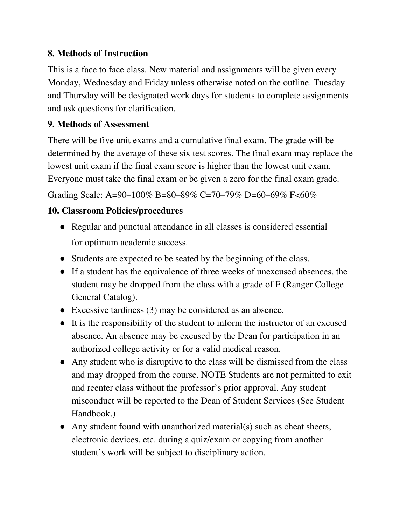### **8. Methods of Instruction**

This is a face to face class. New material and assignments will be given every Monday, Wednesday and Friday unless otherwise noted on the outline. Tuesday and Thursday will be designated work days for students to complete assignments and ask questions for clarification.

#### **9. Methods of Assessment**

There will be five unit exams and a cumulative final exam. The grade will be determined by the average of these six test scores. The final exam may replace the lowest unit exam if the final exam score is higher than the lowest unit exam. Everyone must take the final exam or be given a zero for the final exam grade.

Grading Scale: A=90–100% B=80–89% C=70–79% D=60–69% F<60%

# **10. Classroom Policies/procedures**

- Regular and punctual attendance in all classes is considered essential for optimum academic success.
- Students are expected to be seated by the beginning of the class.
- If a student has the equivalence of three weeks of unexcused absences, the student may be dropped from the class with a grade of F (Ranger College General Catalog).
- Excessive tardiness (3) may be considered as an absence.
- It is the responsibility of the student to inform the instructor of an excused absence. An absence may be excused by the Dean for participation in an authorized college activity or for a valid medical reason.
- Any student who is disruptive to the class will be dismissed from the class and may dropped from the course. NOTE Students are not permitted to exit and reenter class without the professor's prior approval. Any student misconduct will be reported to the Dean of Student Services (See Student Handbook.)
- Any student found with unauthorized material(s) such as cheat sheets, electronic devices, etc. during a quiz/exam or copying from another student's work will be subject to disciplinary action.